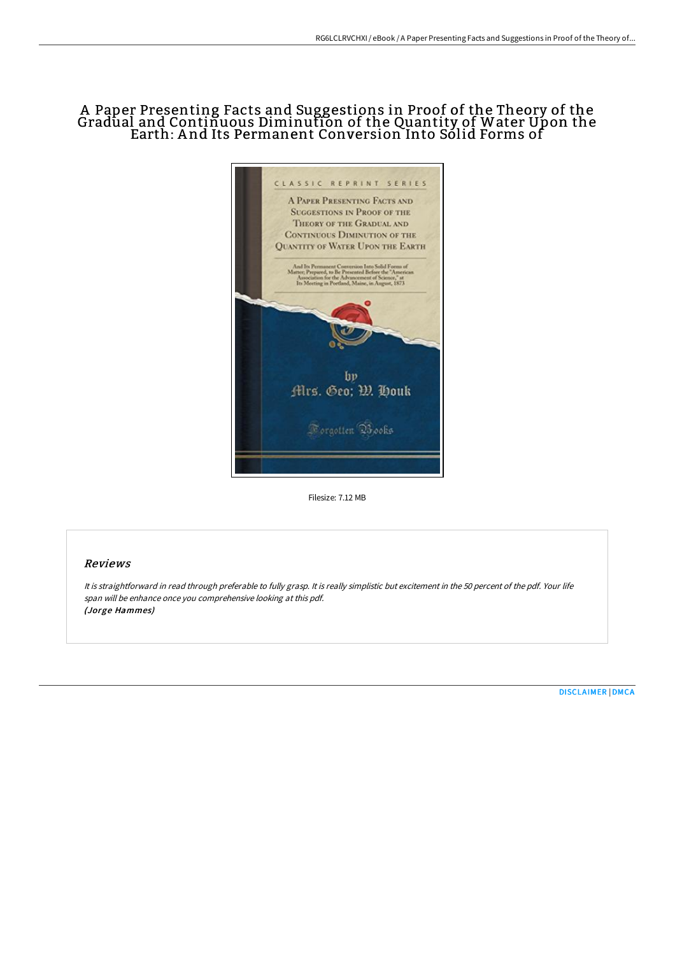# A Paper Presenting Facts and Suggestions in Proof of the Theory of the Gradual and Continuous Diminution of the Quantity of Water Upon the Earth: A nd Its Permanent Conversion Into Solid Forms of



Filesize: 7.12 MB

# Reviews

It is straightforward in read through preferable to fully grasp. It is really simplistic but excitement in the <sup>50</sup> percent of the pdf. Your life span will be enhance once you comprehensive looking at this pdf. (Jorge Hammes)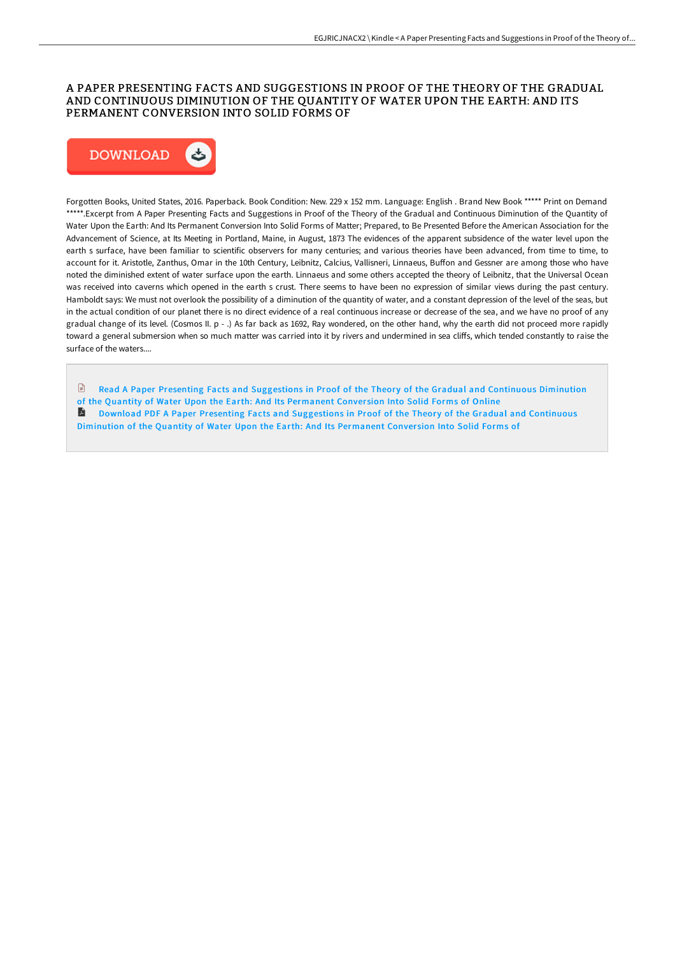### A PAPER PRESENTING FACTS AND SUGGESTIONS IN PROOF OF THE THEORY OF THE GRADUAL AND CONTINUOUS DIMINUTION OF THE QUANTITY OF WATER UPON THE EARTH: AND ITS PERMANENT CONVERSION INTO SOLID FORMS OF



Forgotten Books, United States, 2016. Paperback. Book Condition: New. 229 x 152 mm. Language: English . Brand New Book \*\*\*\*\* Print on Demand \*\*\*\*\*.Excerpt from A Paper Presenting Facts and Suggestions in Proof of the Theory of the Gradual and Continuous Diminution of the Quantity of Water Upon the Earth: And Its Permanent Conversion Into Solid Forms of Matter; Prepared, to Be Presented Before the American Association for the Advancement of Science, at Its Meeting in Portland, Maine, in August, 1873 The evidences of the apparent subsidence of the water level upon the earth s surface, have been familiar to scientific observers for many centuries; and various theories have been advanced, from time to time, to account for it. Aristotle, Zanthus, Omar in the 10th Century, Leibnitz, Calcius, Vallisneri, Linnaeus, Buffon and Gessner are among those who have noted the diminished extent of water surface upon the earth. Linnaeus and some others accepted the theory of Leibnitz, that the Universal Ocean was received into caverns which opened in the earth s crust. There seems to have been no expression of similar views during the past century. Hamboldt says: We must not overlook the possibility of a diminution of the quantity of water, and a constant depression of the level of the seas, but in the actual condition of our planet there is no direct evidence of a real continuous increase or decrease of the sea, and we have no proof of any gradual change of its level. (Cosmos II. p - .) As far back as 1692, Ray wondered, on the other hand, why the earth did not proceed more rapidly toward a general submersion when so much matter was carried into it by rivers and undermined in sea cliffs, which tended constantly to raise the surface of the waters....

- $\begin{tabular}{|c|c|} \hline \quad \quad & \quad \quad & \quad \quad \\ \hline \end{tabular}$ Read A Paper Presenting Facts and [Suggestions](http://techno-pub.tech/a-paper-presenting-facts-and-suggestions-in-proo.html) in Proof of the Theory of the Gradual and Continuous Diminution of the Quantity of Water Upon the Earth: And Its Permanent Conversion Into Solid Forms of Online
- A Download PDF A Paper Presenting Facts and [Suggestions](http://techno-pub.tech/a-paper-presenting-facts-and-suggestions-in-proo.html) in Proof of the Theory of the Gradual and Continuous Diminution of the Quantity of Water Upon the Earth: And Its Permanent Conversion Into Solid Forms of